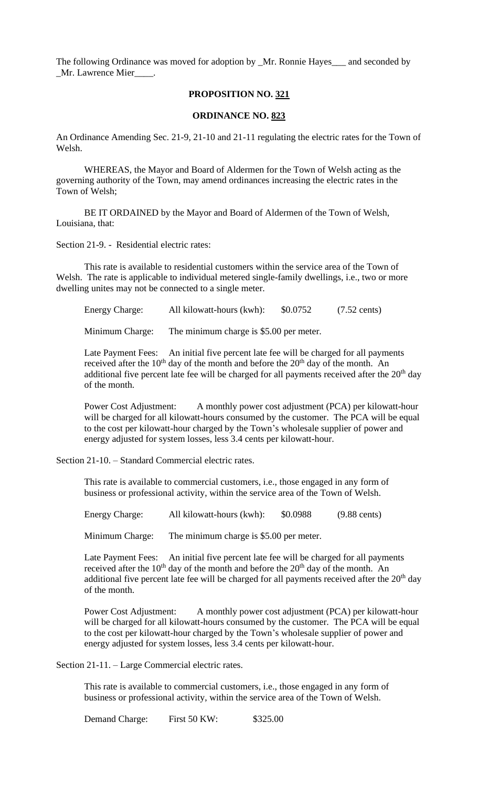The following Ordinance was moved for adoption by \_Mr. Ronnie Hayes\_\_\_ and seconded by \_Mr. Lawrence Mier\_\_\_\_.

## **PROPOSITION NO. 321**

## **ORDINANCE NO. 823**

An Ordinance Amending Sec. 21-9, 21-10 and 21-11 regulating the electric rates for the Town of Welsh.

WHEREAS, the Mayor and Board of Aldermen for the Town of Welsh acting as the governing authority of the Town, may amend ordinances increasing the electric rates in the Town of Welsh;

BE IT ORDAINED by the Mayor and Board of Aldermen of the Town of Welsh, Louisiana, that:

Section 21-9. - Residential electric rates:

This rate is available to residential customers within the service area of the Town of Welsh. The rate is applicable to individual metered single-family dwellings, i.e., two or more dwelling unites may not be connected to a single meter.

| <b>Energy Charge:</b> | All kilowatt-hours (kwh): | \$0.0752 | $(7.52 \text{ cents})$ |
|-----------------------|---------------------------|----------|------------------------|
|                       |                           |          |                        |

Minimum Charge: The minimum charge is \$5.00 per meter.

Late Payment Fees: An initial five percent late fee will be charged for all payments received after the  $10<sup>th</sup>$  day of the month and before the  $20<sup>th</sup>$  day of the month. An additional five percent late fee will be charged for all payments received after the  $20<sup>th</sup>$  day of the month.

Power Cost Adjustment: A monthly power cost adjustment (PCA) per kilowatt-hour will be charged for all kilowatt-hours consumed by the customer. The PCA will be equal to the cost per kilowatt-hour charged by the Town's wholesale supplier of power and energy adjusted for system losses, less 3.4 cents per kilowatt-hour.

Section 21-10. – Standard Commercial electric rates.

This rate is available to commercial customers, i.e., those engaged in any form of business or professional activity, within the service area of the Town of Welsh.

Energy Charge: All kilowatt-hours (kwh): \$0.0988 (9.88 cents)

Minimum Charge: The minimum charge is \$5.00 per meter.

Late Payment Fees: An initial five percent late fee will be charged for all payments received after the  $10^{th}$  day of the month and before the  $20^{th}$  day of the month. An additional five percent late fee will be charged for all payments received after the  $20<sup>th</sup>$  day of the month.

Power Cost Adjustment: A monthly power cost adjustment (PCA) per kilowatt-hour will be charged for all kilowatt-hours consumed by the customer. The PCA will be equal to the cost per kilowatt-hour charged by the Town's wholesale supplier of power and energy adjusted for system losses, less 3.4 cents per kilowatt-hour.

Section 21-11. – Large Commercial electric rates.

This rate is available to commercial customers, i.e., those engaged in any form of business or professional activity, within the service area of the Town of Welsh.

Demand Charge: First 50 KW: \$325.00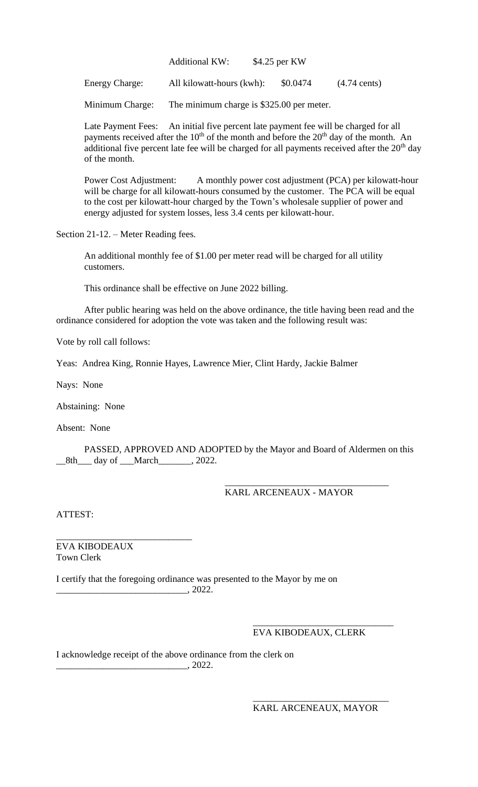| \$4.25 per KW | <b>Additional KW:</b> |
|---------------|-----------------------|
|               |                       |

Energy Charge: All kilowatt-hours (kwh): \$0.0474 (4.74 cents)

Minimum Charge: The minimum charge is \$325.00 per meter.

Late Payment Fees: An initial five percent late payment fee will be charged for all payments received after the  $10<sup>th</sup>$  of the month and before the  $20<sup>th</sup>$  day of the month. An additional five percent late fee will be charged for all payments received after the  $20<sup>th</sup>$  day of the month.

Power Cost Adjustment: A monthly power cost adjustment (PCA) per kilowatt-hour will be charge for all kilowatt-hours consumed by the customer. The PCA will be equal to the cost per kilowatt-hour charged by the Town's wholesale supplier of power and energy adjusted for system losses, less 3.4 cents per kilowatt-hour.

Section 21-12. – Meter Reading fees.

An additional monthly fee of \$1.00 per meter read will be charged for all utility customers.

This ordinance shall be effective on June 2022 billing.

After public hearing was held on the above ordinance, the title having been read and the ordinance considered for adoption the vote was taken and the following result was:

Vote by roll call follows:

Yeas: Andrea King, Ronnie Hayes, Lawrence Mier, Clint Hardy, Jackie Balmer

Nays: None

Abstaining: None

Absent: None

PASSED, APPROVED AND ADOPTED by the Mayor and Board of Aldermen on this \_\_8th\_\_\_ day of \_\_\_March\_\_\_\_\_\_\_, 2022.

KARL ARCENEAUX - MAYOR

\_\_\_\_\_\_\_\_\_\_\_\_\_\_\_\_\_\_\_\_\_\_\_\_\_\_\_\_\_\_\_\_\_\_\_

ATTEST:

\_\_\_\_\_\_\_\_\_\_\_\_\_\_\_\_\_\_\_\_\_\_\_\_\_\_\_\_\_ EVA KIBODEAUX Town Clerk

I certify that the foregoing ordinance was presented to the Mayor by me on  $\overline{\phantom{2022}}$ , 2022.

## EVA KIBODEAUX, CLERK

\_\_\_\_\_\_\_\_\_\_\_\_\_\_\_\_\_\_\_\_\_\_\_\_\_\_\_\_\_\_

I acknowledge receipt of the above ordinance from the clerk on  $\frac{1}{2022}$ .

KARL ARCENEAUX, MAYOR

\_\_\_\_\_\_\_\_\_\_\_\_\_\_\_\_\_\_\_\_\_\_\_\_\_\_\_\_\_